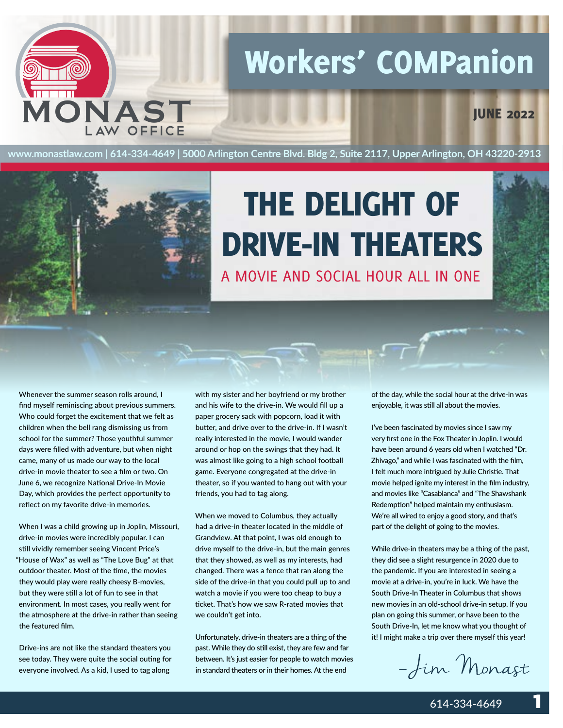## Workers' COMPanion

**IUNE 2022** 

**www.monastlaw.com | 614-334-4649 | 5000 Arlington Centre Blvd. Bldg 2, Suite 2117, Upper Arlington, OH 43220-2913**



**MON AST**

AW OFFICE

## A MOVIE AND SOCIAL HOUR ALL IN ONE THE DELIGHT OF DRIVE-IN THEATERS

Whenever the summer season rolls around, I find myself reminiscing about previous summers. Who could forget the excitement that we felt as children when the bell rang dismissing us from school for the summer? Those youthful summer days were filled with adventure, but when night came, many of us made our way to the local drive-in movie theater to see a film or two. On June 6, we recognize National Drive-In Movie Day, which provides the perfect opportunity to reflect on my favorite drive-in memories.

When I was a child growing up in Joplin, Missouri, drive-in movies were incredibly popular. I can still vividly remember seeing Vincent Price's "House of Wax" as well as "The Love Bug" at that outdoor theater. Most of the time, the movies they would play were really cheesy B-movies, but they were still a lot of fun to see in that environment. In most cases, you really went for the atmosphere at the drive-in rather than seeing the featured film.

Drive-ins are not like the standard theaters you see today. They were quite the social outing for everyone involved. As a kid, I used to tag along

with my sister and her boyfriend or my brother and his wife to the drive-in. We would fill up a paper grocery sack with popcorn, load it with butter, and drive over to the drive-in. If I wasn't really interested in the movie, I would wander around or hop on the swings that they had. It was almost like going to a high school football game. Everyone congregated at the drive-in theater, so if you wanted to hang out with your friends, you had to tag along.

When we moved to Columbus, they actually had a drive-in theater located in the middle of Grandview. At that point, I was old enough to drive myself to the drive-in, but the main genres that they showed, as well as my interests, had changed. There was a fence that ran along the side of the drive-in that you could pull up to and watch a movie if you were too cheap to buy a ticket. That's how we saw R-rated movies that we couldn't get into.

Unfortunately, drive-in theaters are a thing of the past. While they do still exist, they are few and far between. It's just easier for people to watch movies in standard theaters or in their homes. At the end

of the day, while the social hour at the drive-in was enjoyable, it was still all about the movies.

I've been fascinated by movies since I saw my very first one in the Fox Theater in Joplin. I would have been around 6 years old when I watched "Dr. Zhivago," and while I was fascinated with the film, I felt much more intrigued by Julie Christie. That movie helped ignite my interest in the film industry, and movies like "Casablanca" and "The Shawshank Redemption" helped maintain my enthusiasm. We're all wired to enjoy a good story, and that's part of the delight of going to the movies.

While drive-in theaters may be a thing of the past, they did see a slight resurgence in 2020 due to the pandemic. If you are interested in seeing a movie at a drive-in, you're in luck. We have the South Drive-In Theater in Columbus that shows new movies in an old-school drive-in setup. If you plan on going this summer, or have been to the South Drive-In, let me know what you thought of it! I might make a trip over there myself this year!

- Jim Monast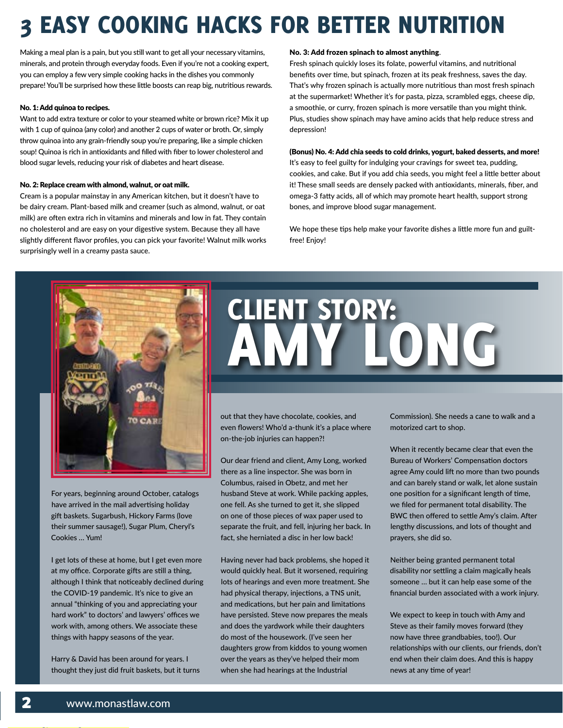## **EASY COOKING HACKS FOR BETTER NUTRITION**

Making a meal plan is a pain, but you still want to get all your necessary vitamins, minerals, and protein through everyday foods. Even if you're not a cooking expert, you can employ a few very simple cooking hacks in the dishes you commonly prepare! You'll be surprised how these little boosts can reap big, nutritious rewards.

#### No. 1: Add quinoa to recipes.

Want to add extra texture or color to your steamed white or brown rice? Mix it up with 1 cup of quinoa (any color) and another 2 cups of water or broth. Or, simply throw quinoa into any grain-friendly soup you're preparing, like a simple chicken soup! Quinoa is rich in antioxidants and filled with fiber to lower cholesterol and blood sugar levels, reducing your risk of diabetes and heart disease.

#### No. 2: Replace cream with almond, walnut, or oat milk.

Cream is a popular mainstay in any American kitchen, but it doesn't have to be dairy cream. Plant-based milk and creamer (such as almond, walnut, or oat milk) are often extra rich in vitamins and minerals and low in fat. They contain no cholesterol and are easy on your digestive system. Because they all have slightly different flavor profiles, you can pick your favorite! Walnut milk works surprisingly well in a creamy pasta sauce.

#### No. 3: Add frozen spinach to almost anything.

Fresh spinach quickly loses its folate, powerful vitamins, and nutritional benefits over time, but spinach, frozen at its peak freshness, saves the day. That's why frozen spinach is actually more nutritious than most fresh spinach at the supermarket! Whether it's for pasta, pizza, scrambled eggs, cheese dip, a smoothie, or curry, frozen spinach is more versatile than you might think. Plus, studies show spinach may have amino acids that help reduce stress and depression!

#### (Bonus) No. 4: Add chia seeds to cold drinks, yogurt, baked desserts, and more!

It's easy to feel guilty for indulging your cravings for sweet tea, pudding, cookies, and cake. But if you add chia seeds, you might feel a little better about it! These small seeds are densely packed with antioxidants, minerals, fiber, and omega-3 fatty acids, all of which may promote heart health, support strong bones, and improve blood sugar management.

We hope these tips help make your favorite dishes a little more fun and guiltfree! Enjoy!



For years, beginning around October, catalogs have arrived in the mail advertising holiday gift baskets. Sugarbush, Hickory Farms (love their summer sausage!), Sugar Plum, Cheryl's Cookies … Yum!

I get lots of these at home, but I get even more at my office. Corporate gifts are still a thing, although I think that noticeably declined during the COVID-19 pandemic. It's nice to give an annual "thinking of you and appreciating your hard work" to doctors' and lawyers' offices we work with, among others. We associate these things with happy seasons of the year.

Harry & David has been around for years. I thought they just did fruit baskets, but it turns

# CLIENT STORY: AMY LONG

out that they have chocolate, cookies, and even flowers! Who'd a-thunk it's a place where on-the-job injuries can happen?!

Our dear friend and client, Amy Long, worked there as a line inspector. She was born in Columbus, raised in Obetz, and met her husband Steve at work. While packing apples, one fell. As she turned to get it, she slipped on one of those pieces of wax paper used to separate the fruit, and fell, injuring her back. In fact, she herniated a disc in her low back!

Having never had back problems, she hoped it would quickly heal. But it worsened, requiring lots of hearings and even more treatment. She had physical therapy, injections, a TNS unit, and medications, but her pain and limitations have persisted. Steve now prepares the meals and does the yardwork while their daughters do most of the housework. (I've seen her daughters grow from kiddos to young women over the years as they've helped their mom when she had hearings at the Industrial

Commission). She needs a cane to walk and a motorized cart to shop.

When it recently became clear that even the Bureau of Workers' Compensation doctors agree Amy could lift no more than two pounds and can barely stand or walk, let alone sustain one position for a significant length of time, we filed for permanent total disability. The BWC then offered to settle Amy's claim. After lengthy discussions, and lots of thought and prayers, she did so.

Neither being granted permanent total disability nor settling a claim magically heals someone … but it can help ease some of the financial burden associated with a work injury.

We expect to keep in touch with Amy and Steve as their family moves forward (they now have three grandbabies, too!). Our relationships with our clients, our friends, don't end when their claim does. And this is happy news at any time of year!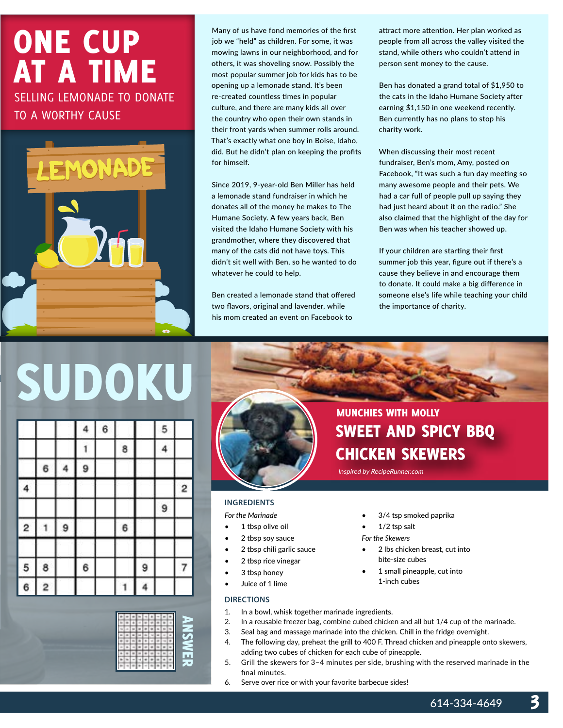## ONE CUP AT A TIME SELLING LEMONADE TO DONATE

TO A WORTHY CAUSE



Many of us have fond memories of the first job we "held" as children. For some, it was mowing lawns in our neighborhood, and for others, it was shoveling snow. Possibly the most popular summer job for kids has to be opening up a lemonade stand. It's been re-created countless times in popular culture, and there are many kids all over the country who open their own stands in their front yards when summer rolls around. That's exactly what one boy in Boise, Idaho, did. But he didn't plan on keeping the profits for himself.

Since 2019, 9-year-old Ben Miller has held a lemonade stand fundraiser in which he donates all of the money he makes to The Humane Society. A few years back, Ben visited the Idaho Humane Society with his grandmother, where they discovered that many of the cats did not have toys. This didn't sit well with Ben, so he wanted to do whatever he could to help.

Ben created a lemonade stand that offered two flavors, original and lavender, while his mom created an event on Facebook to

attract more attention. Her plan worked as people from all across the valley visited the stand, while others who couldn't attend in person sent money to the cause.

Ben has donated a grand total of \$1,950 to the cats in the Idaho Humane Society after earning \$1,150 in one weekend recently. Ben currently has no plans to stop his charity work.

When discussing their most recent fundraiser, Ben's mom, Amy, posted on Facebook, "It was such a fun day meeting so many awesome people and their pets. We had a car full of people pull up saying they had just heard about it on the radio." She also claimed that the highlight of the day for Ben was when his teacher showed up.

If your children are starting their first summer job this year, figure out if there's a cause they believe in and encourage them to donate. It could make a big difference in someone else's life while teaching your child the importance of charity.

# SUDOKU

|   |   |   | 4 | 6 |   |   | 5 |   |
|---|---|---|---|---|---|---|---|---|
|   |   |   |   |   | 8 |   | 4 |   |
|   | 6 |   | 9 |   |   |   |   |   |
| 4 |   |   |   |   |   |   |   | 2 |
|   |   |   |   |   |   |   | 9 |   |
| 2 |   | 9 |   |   | 6 |   |   |   |
| 5 | 8 |   | 6 |   |   | 9 |   |   |
| 6 | 2 |   |   |   |   |   |   |   |





### MUNCHIES WITH MOLLY SWEET AND SPICY BBQ CHICKEN SKEWERS

Inspired by RecipeRunner.com

#### **INGREDIENTS**

*For the Marinade*

- 1 tbsp olive oil
- 2 tbsp soy sauce
- 2 tbsp chili garlic sauce
- 2 tbsp rice vinegar
- 3 tbsp honey
- Juice of 1 lime

#### **DIRECTIONS**

- 1. In a bowl, whisk together marinade ingredients.
- 2. In a reusable freezer bag, combine cubed chicken and all but 1/4 cup of the marinade.
- 3. Seal bag and massage marinade into the chicken. Chill in the fridge overnight.
- 4. The following day, preheat the grill to 400 F. Thread chicken and pineapple onto skewers, adding two cubes of chicken for each cube of pineapple.
- 5. Grill the skewers for 3–4 minutes per side, brushing with the reserved marinade in the final minutes.
- 6. Serve over rice or with your favorite barbecue sides!
- 3/4 tsp smoked paprika
- $1/2$  tsp salt

*For the Skewers*

- 2 lbs chicken breast, cut into bite-size cubes
- 1 small pineapple, cut into 1-inch cubes

614-334-4649

3